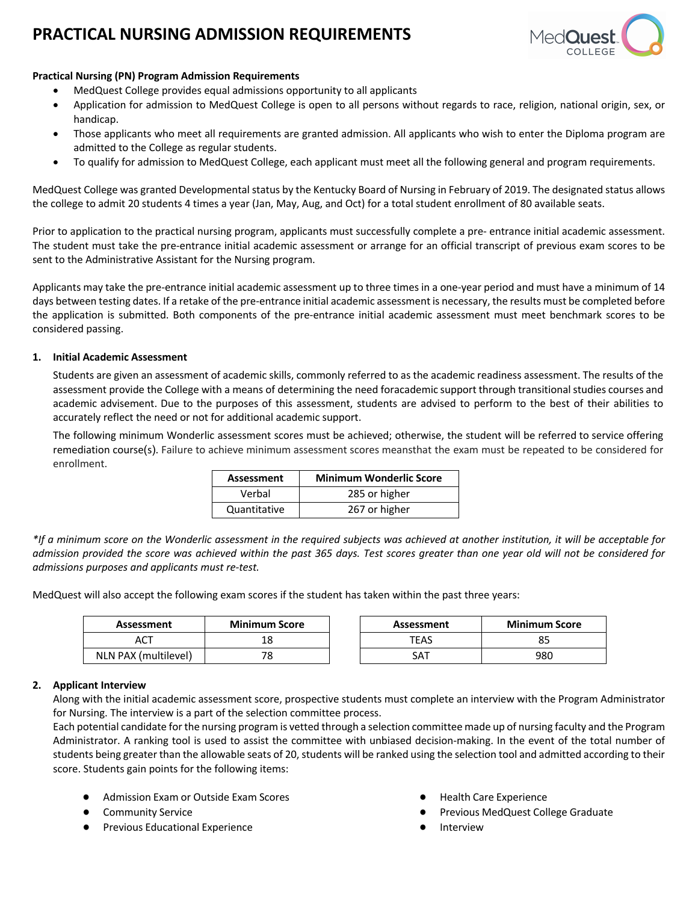# **PRACTICAL NURSING ADMISSION REQUIREMENTS**



### **Practical Nursing (PN) Program Admission Requirements**

- MedQuest College provides equal admissions opportunity to all applicants
- Application for admission to MedQuest College is open to all persons without regards to race, religion, national origin, sex, or handicap.
- Those applicants who meet all requirements are granted admission. All applicants who wish to enter the Diploma program are admitted to the College as regular students.
- To qualify for admission to MedQuest College, each applicant must meet all the following general and program requirements.

MedQuest College was granted Developmental status by the Kentucky Board of Nursing in February of 2019. The designated status allows the college to admit 20 students 4 times a year (Jan, May, Aug, and Oct) for a total student enrollment of 80 available seats.

Prior to application to the practical nursing program, applicants must successfully complete a pre- entrance initial academic assessment. The student must take the pre-entrance initial academic assessment or arrange for an official transcript of previous exam scores to be sent to the Administrative Assistant for the Nursing program.

Applicants may take the pre-entrance initial academic assessment up to three times in a one-year period and must have a minimum of 14 days between testing dates. If a retake of the pre-entrance initial academic assessment is necessary, the results must be completed before the application is submitted. Both components of the pre-entrance initial academic assessment must meet benchmark scores to be considered passing.

#### **1. Initial Academic Assessment**

Students are given an assessment of academic skills, commonly referred to as the academic readiness assessment. The results of the assessment provide the College with a means of determining the need foracademic support through transitional studies courses and academic advisement. Due to the purposes of this assessment, students are advised to perform to the best of their abilities to accurately reflect the need or not for additional academic support.

The following minimum Wonderlic assessment scores must be achieved; otherwise, the student will be referred to service offering remediation course(s). Failure to achieve minimum assessment scores meansthat the exam must be repeated to be considered for enrollment.

| <b>Assessment</b> | <b>Minimum Wonderlic Score</b> |  |  |
|-------------------|--------------------------------|--|--|
| Verbal            | 285 or higher                  |  |  |
| Quantitative      | 267 or higher                  |  |  |

*\*If a minimum score on the Wonderlic assessment in the required subjects was achieved at another institution, it will be acceptable for admission provided the score was achieved within the past 365 days. Test scores greater than one year old will not be considered for admissions purposes and applicants must re-test.*

MedQuest will also accept the following exam scores if the student has taken within the past three years:

| <b>Minimum Score</b><br>Assessment |    | Assessment | <b>Minimum Score</b> |  |
|------------------------------------|----|------------|----------------------|--|
| ACT                                | 18 | TEAS       |                      |  |
| NLN PAX (multilevel)               | 78 | SAT        | 980                  |  |

### **2. Applicant Interview**

Along with the initial academic assessment score, prospective students must complete an interview with the Program Administrator for Nursing. The interview is a part of the selection committee process.

Each potential candidate for the nursing program is vetted through a selection committee made up of nursing faculty and the Program Administrator. A ranking tool is used to assist the committee with unbiased decision-making. In the event of the total number of students being greater than the allowable seats of 20, students will be ranked using the selection tool and admitted according to their score. Students gain points for the following items:

- Admission Exam or Outside Exam Scores
- Community Service
- **Previous Educational Experience**
- **Health Care Experience**
- Previous MedQuest College Graduate
- **Interview**